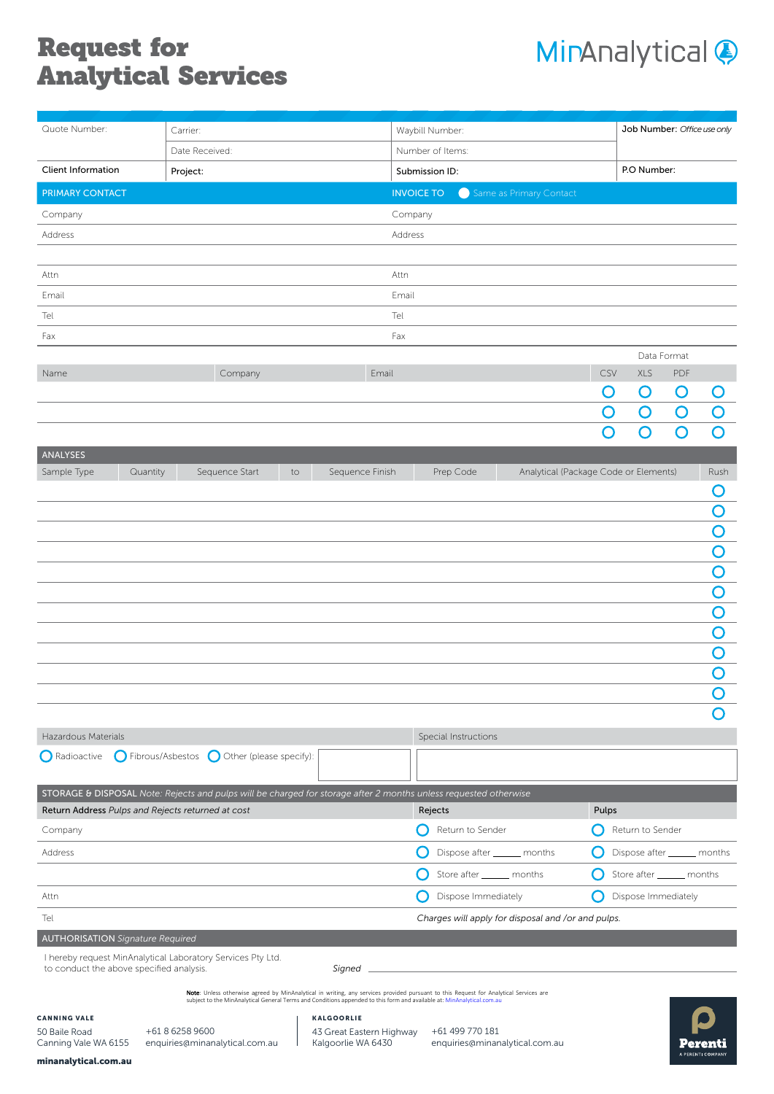# Request for Analytical Services



| Quote Number:                                                                                                                                                      | Carrier:                                                                                                         |                                                    | Waybill Number:      |                                       | Job Number: Office use only |                             |                    |                         |
|--------------------------------------------------------------------------------------------------------------------------------------------------------------------|------------------------------------------------------------------------------------------------------------------|----------------------------------------------------|----------------------|---------------------------------------|-----------------------------|-----------------------------|--------------------|-------------------------|
|                                                                                                                                                                    | Date Received:                                                                                                   |                                                    | Number of Items:     |                                       |                             |                             |                    |                         |
| <b>Client Information</b>                                                                                                                                          | Project:                                                                                                         |                                                    | Submission ID:       |                                       |                             | P.O Number:                 |                    |                         |
| <b>PRIMARY CONTACT</b>                                                                                                                                             |                                                                                                                  |                                                    | <b>INVOICE TO</b>    | Same as Primary Contact               |                             |                             |                    |                         |
| Company                                                                                                                                                            |                                                                                                                  |                                                    | Company              |                                       |                             |                             |                    |                         |
| Address                                                                                                                                                            |                                                                                                                  |                                                    | Address              |                                       |                             |                             |                    |                         |
|                                                                                                                                                                    |                                                                                                                  |                                                    |                      |                                       |                             |                             |                    |                         |
| Attn                                                                                                                                                               |                                                                                                                  |                                                    | Attn                 |                                       |                             |                             |                    |                         |
| Email                                                                                                                                                              |                                                                                                                  |                                                    | Email                |                                       |                             |                             |                    |                         |
| Tel                                                                                                                                                                |                                                                                                                  |                                                    | Tel                  |                                       |                             |                             |                    |                         |
| Fax                                                                                                                                                                |                                                                                                                  |                                                    | Fax                  |                                       |                             |                             |                    |                         |
| Company<br>Email<br>Name                                                                                                                                           |                                                                                                                  |                                                    |                      |                                       | CSV                         | XLS                         | Data Format<br>PDF |                         |
|                                                                                                                                                                    |                                                                                                                  |                                                    |                      |                                       | Ő                           | $\mathbf O$                 | O                  | O                       |
|                                                                                                                                                                    |                                                                                                                  |                                                    |                      |                                       | O                           | $\mathbf O$                 | $\overline{O}$     | $\overline{O}$          |
|                                                                                                                                                                    |                                                                                                                  |                                                    |                      |                                       | O                           | $\overline{O}$              | $\overline{O}$     | $\overline{\mathsf{O}}$ |
| <b>ANALYSES</b>                                                                                                                                                    |                                                                                                                  |                                                    |                      |                                       |                             |                             |                    |                         |
| Sample Type<br>Quantity                                                                                                                                            | Sequence Start<br>to                                                                                             | Sequence Finish                                    | Prep Code            | Analytical (Package Code or Elements) |                             |                             |                    | Rush                    |
|                                                                                                                                                                    |                                                                                                                  |                                                    |                      |                                       |                             |                             |                    | O                       |
|                                                                                                                                                                    |                                                                                                                  |                                                    |                      |                                       |                             |                             |                    | O                       |
|                                                                                                                                                                    |                                                                                                                  |                                                    |                      |                                       |                             |                             |                    | O                       |
|                                                                                                                                                                    |                                                                                                                  |                                                    |                      |                                       |                             |                             |                    | O                       |
|                                                                                                                                                                    |                                                                                                                  |                                                    |                      |                                       |                             |                             |                    | O                       |
|                                                                                                                                                                    |                                                                                                                  |                                                    |                      |                                       |                             |                             |                    | O                       |
|                                                                                                                                                                    |                                                                                                                  |                                                    |                      |                                       |                             |                             |                    | O                       |
|                                                                                                                                                                    |                                                                                                                  |                                                    |                      |                                       |                             |                             |                    | O                       |
|                                                                                                                                                                    |                                                                                                                  |                                                    |                      |                                       |                             |                             |                    | O                       |
|                                                                                                                                                                    |                                                                                                                  |                                                    |                      |                                       |                             |                             |                    | O<br>$\cap$             |
|                                                                                                                                                                    |                                                                                                                  |                                                    |                      |                                       |                             |                             |                    | $\bigcirc$              |
| Hazardous Materials                                                                                                                                                |                                                                                                                  |                                                    | Special Instructions |                                       |                             |                             |                    |                         |
| ◯ Fibrous/Asbestos ◯ Other (please specify):<br>Radioactive                                                                                                        |                                                                                                                  |                                                    |                      |                                       |                             |                             |                    |                         |
|                                                                                                                                                                    |                                                                                                                  |                                                    |                      |                                       |                             |                             |                    |                         |
|                                                                                                                                                                    | STORAGE & DISPOSAL Note: Rejects and pulps will be charged for storage after 2 months unless requested otherwise |                                                    |                      |                                       |                             |                             |                    |                         |
| Return Address Pulps and Rejects returned at cost                                                                                                                  |                                                                                                                  |                                                    | Rejects              |                                       | Pulps                       |                             |                    |                         |
| Company                                                                                                                                                            |                                                                                                                  |                                                    | Return to Sender     |                                       |                             | Return to Sender            |                    |                         |
| Address                                                                                                                                                            |                                                                                                                  |                                                    |                      | Dispose after ______ months           |                             | Dispose after ______ months |                    |                         |
|                                                                                                                                                                    |                                                                                                                  |                                                    |                      | Store after _______ months            |                             | Store after _______ months  |                    |                         |
| Attn                                                                                                                                                               |                                                                                                                  |                                                    | Dispose Immediately  |                                       |                             | Dispose Immediately         |                    |                         |
| Tel                                                                                                                                                                |                                                                                                                  | Charges will apply for disposal and /or and pulps. |                      |                                       |                             |                             |                    |                         |
| <b>AUTHORISATION</b> Signature Required                                                                                                                            |                                                                                                                  |                                                    |                      |                                       |                             |                             |                    |                         |
| I hereby request MinAnalytical Laboratory Services Pty Ltd.<br>to conduct the above specified analysis.                                                            |                                                                                                                  | Signed                                             |                      |                                       |                             |                             |                    |                         |
| Note: Unless otherwise agreed by MinAnalytical in writing, any services provided pursuant to this Request for Analytical Services are                              |                                                                                                                  |                                                    |                      |                                       |                             |                             |                    |                         |
| subject to the MinAnalytical General Terms and Conditions appended to this form and available at: MinAnalytical.com.au<br><b>CANNING VALE</b><br><b>KALGOORLIE</b> |                                                                                                                  |                                                    |                      |                                       |                             |                             |                    |                         |
| 50 Baile Road                                                                                                                                                      | +61 8 6258 9600                                                                                                  | 43 Great Eastern Highway                           | +61 499 770 181      |                                       |                             |                             |                    |                         |
| Canning Vale WA 6155<br>minanalytical.com.au                                                                                                                       | enquiries@minanalytical.com.au                                                                                   | Kalgoorlie WA 6430                                 |                      | enquiries@minanalytical.com.au        |                             |                             |                    | A PERENTI COMPANY       |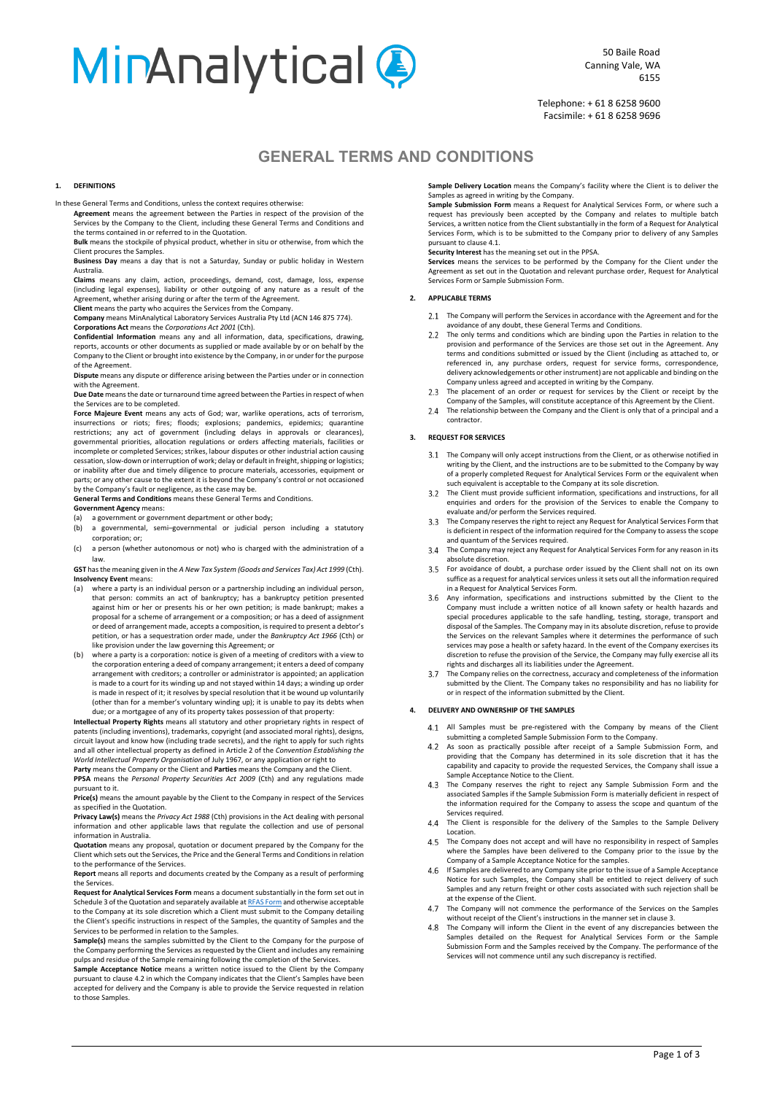# **MinAnalytical @**

Telephone: + 61 8 6258 9600 Facsimile: + 61 8 6258 9696

## **GENERAL TERMS AND CONDITIONS**

#### **1. DEFINITIONS**

In these General Terms and Conditions, unless the context requires otherwise:

**Agreement** means the agreement between the Parties in respect of the provision of the Services by the Company to the Client, including these General Terms and Conditions and the terms contained in or referred to in the Quotation.

**Bulk** means the stockpile of physical product, whether in situ or otherwise, from which the Client procures the Samples.

**Business Day** means a day that is not a Saturday, Sunday or public holiday in Western Australia.

**Claims** means any claim, action, proceedings, demand, cost, damage, loss, expense (including legal expenses), liability or other outgoing of any nature as a result of the Agreement, whether arising during or after the term of the Agreement.

**Client** means the party who acquires the Services from the Company. **Company** means MinAnalytical Laboratory Services Australia Pty Ltd (ACN 146 875 774).

**Corporations Act** means the *Corporations Act 2001* (Cth). **Confidential Information** means any and all information, data, specifications, drawing,

reports, accounts or other documents as supplied or made available by or on behalf by the Company to the Client or brought into existence by the Company, in or under for the purpose of the Agreement. **Dispute** means any dispute or difference arising between the Parties under or in connection

with the Agreement. **Due Date** means the date or turnaround time agreed between the Partiesin respect of when

the Services are to be completed.

**Force Majeure Event** means any acts of God; war, warlike operations, acts of terrorism, insurrections or riots; fires; floods; explosions; pandemics, epidemics; quarantine restrictions; any act of government (including delays in approvals or clearances), governmental priorities, allocation regulations or orders affecting materials, facilities or incomplete or completed Services; strikes, labour disputes or other industrial action causing cessation, slow-down or interruption of work; delay or default in freight, shipping or logistics; or inability after due and timely diligence to procure materials, accessories, equipment or parts; or any other cause to the extent it is beyond the Company's control or not occasioned by the Company's fault or negligence, as the case may be.

**General Terms and Conditions** means these General Terms and Conditions.

## **Government Agency** means:<br>(a) a government or gover

a government or government department or other body;

- (b) a governmental, semi–governmental or judicial person including a statutory corporation; or;
- (c) a person (whether autonomous or not) who is charged with the administration of a law.

**GST** has the meaning given in the *A New Tax System (Goods and Services Tax) Act 1999* (Cth). **Insolvency Event** means:

- (a) where a party is an individual person or a partnership including an individual person, that person: commits an act of bankruptcy; has a bankruptcy petition presented against him or her or presents his or her own petition; is made bankrupt; makes a proposal for a scheme of arrangement or a composition; or has a deed of assignment or deed of arrangement made, accepts a composition, is required to present a debtor's petition, or has a sequestration order made, under the *Bankruptcy Act 1966* (Cth) or like provision under the law governing this Agreement; or
- (b) where a party is a corporation: notice is given of a meeting of creditors with a view to the corporation entering a deed of company arrangement; it enters a deed of company arrangement with creditors; a controller or administrator is appointed; an application is made to a court for its winding up and not stayed within 14 days; a winding up order is made in respect of it; it resolves by special resolution that it be wound up voluntarily (other than for a member's voluntary winding up); it is unable to pay its debts when due; or a mortgagee of any of its property takes possession of that property:

**Intellectual Property Rights** means all statutory and other proprietary rights in respect of patents (including inventions), trademarks, copyright (and associated moral rights), designs, circuit layout and know how (including trade secrets), and the right to apply for such rights and all other intellectual property as defined in Article 2 of the *Convention Establishing the*

*World Intellectual Property Organisation* of July 1967, or any application or right to **Party** means the Company or the Client and **Parties** means the Company and the Client.

**PPSA** means the *Personal Property Securities Act 2009* (Cth) and any regulations made pursuant to it.

**Price(s)** means the amount payable by the Client to the Company in respect of the Services as specified in the Quotation.

**Privacy Law(s)** means the *Privacy Act 1988* (Cth) provisions in the Act dealing with personal information and other applicable laws that regulate the collection and use of personal information in Australia.

**Quotation** means any proposal, quotation or document prepared by the Company for the Client which sets out the Services, the Price and the General Terms and Conditions in relation to the performance of the Services.

**Report** means all reports and documents created by the Company as a result of performing the Services.

**Request for Analytical Services Form** means a document substantially in the form set out in Schedule 3 of the Quotation and separately available a[t RFAS Form](https://minanalytical.com.au/wp-content/uploads/sites/7/2019/09/PERE-19226-Minanalytical-Submissions-form.pdf) and otherwise acceptable to the Company at its sole discretion which a Client must submit to the Company detailing the Client's specific instructions in respect of the Samples, the quantity of Samples and the Services to be performed in relation to the Samples.

**Sample(s)** means the samples submitted by the Client to the Company for the purpose of the Company performing the Services as requested by the Client and includes any remaining pulps and residue of the Sample remaining following the completion of the Services.

**Sample Acceptance Notice** means a written notice issued to the Client by the Company pursuant to claus[e 4.2](#page-1-0) in which the Company indicates that the Client's Samples have been accepted for delivery and the Company is able to provide the Service requested in relation to those Samples.

**Sample Delivery Location** means the Company's facility where the Client is to deliver the Samples as agreed in writing by the Company.

**Sample Submission Form** means a Request for Analytical Services Form, or where such a request has previously been accepted by the Company and relates to multiple batch Services, a written notice from the Client substantially in the form of a Request for Analytical Services Form, which is to be submitted to the Company prior to delivery of any Samples pursuant to claus[e 4.1.](#page-1-1)

**Security Interest** has the meaning set out in the PPSA.

**Services** means the services to be performed by the Company for the Client under the Agreement as set out in the Quotation and relevant purchase order, Request for Analytical Services Form or Sample Submission Form.

#### **2. APPLICABLE TERMS**

2.1 The Company will perform the Services in accordance with the Agreement and for the avoidance of any doubt, these General Terms and Conditions.

- 2.2 The only terms and conditions which are binding upon the Parties in relation to the provision and performance of the Services are those set out in the Agreement. Any terms and conditions submitted or issued by the Client (including as attached to, or referenced in, any purchase orders, request for service forms, correspondence,<br>delivery acknowledgements or other instrument) are not applicable and binding on the Company unless agreed and accepted in writing by the Company.
- $2.3$ The placement of an order or request for services by the Client or receipt by the Company of the Samples, will constitute acceptance of this Agreement by the Client.
- $2\Delta$ The relationship between the Company and the Client is only that of a principal and a contractor.

#### <span id="page-1-2"></span>**3. REQUEST FOR SERVICES**

- The Company will only accept instructions from the Client, or as otherwise notified in writing by the Client, and the instructions are to be submitted to the Company by way of a properly completed Request for Analytical Services Form or the equivalent when
- such equivalent is acceptable to the Company at its sole discretion. The Client must provide sufficient information, specifications and instructions, for all  $3.2$ enquiries and orders for the provision of the Services to enable the Company to evaluate and/or perform the Services required.
- $3.3$ The Company reserves the right to reject any Request for Analytical Services Form that is deficient in respect of the information required for the Company to assess the scope and quantum of the Services required.
- $3.4$ The Company may reject any Request for Analytical Services Form for any reason in its absolute discretion.
- $3.5$ For avoidance of doubt, a purchase order issued by the Client shall not on its own suffice as a request for analytical services unless it sets out all the information required in a Request for Analytical Services Form.
- Any information, specifications and instructions submitted by the Client to the Company must include a written notice of all known safety or health hazards and special procedures applicable to the safe handling, testing, storage, transport and disposal of the Samples. The Company may in its absolute discretion, refuse to provide the Services on the relevant Samples where it determines the performance of such services may pose a health or safety hazard. In the event of the Company exercises its discretion to refuse the provision of the Service, the Company may fully exercise all its rights and discharges all its liabilities under the Agreement.
- $37$ The Company relies on the correctness, accuracy and completeness of the information submitted by the Client. The Company takes no responsibility and has no liability for or in respect of the information submitted by the Client.

#### <span id="page-1-1"></span>**4. DELIVERY AND OWNERSHIP OF THE SAMPLES**

- All Samples must be pre-registered with the Company by means of the Client submitting a completed Sample Submission Form to the Company.
- <span id="page-1-0"></span> $4.2$ As soon as practically possible after receipt of a Sample Submission Form, and providing that the Company has determined in its sole discretion that it has the capability and capacity to provide the requested Services, the Company shall issue a Sample Acceptance Notice to the Client.
- The Company reserves the right to reject any Sample Submission Form and the 43 associated Samples if the Sample Submission Form is materially deficient in respect of the information required for the Company to assess the scope and quantum of the Services required.
- $\Lambda$ The Client is responsible for the delivery of the Samples to the Sample Delivery Location.
- The Company does not accept and will have no responsibility in respect of Samples where the Samples have been delivered to the Company prior to the issue by the Company of a Sample Acceptance Notice for the samples.
- 4.6 If Samples are delivered to any Company site prior to the issue of a Sample Acceptance Notice for such Samples, the Company shall be entitled to reject delivery of such Samples and any return freight or other costs associated with such rejection shall be at the expense of the Client.
- The Company will not commence the performance of the Services on the Samples 47 without receipt of the Client's instructions in the manner set in claus[e 3.](#page-1-2)
- 4.8 The Company will inform the Client in the event of any discrepancies between the Samples detailed on the Request for Analytical Services Form or the Sample Submission Form and the Samples received by the Company. The performance of the Services will not commence until any such discrepancy is rectified.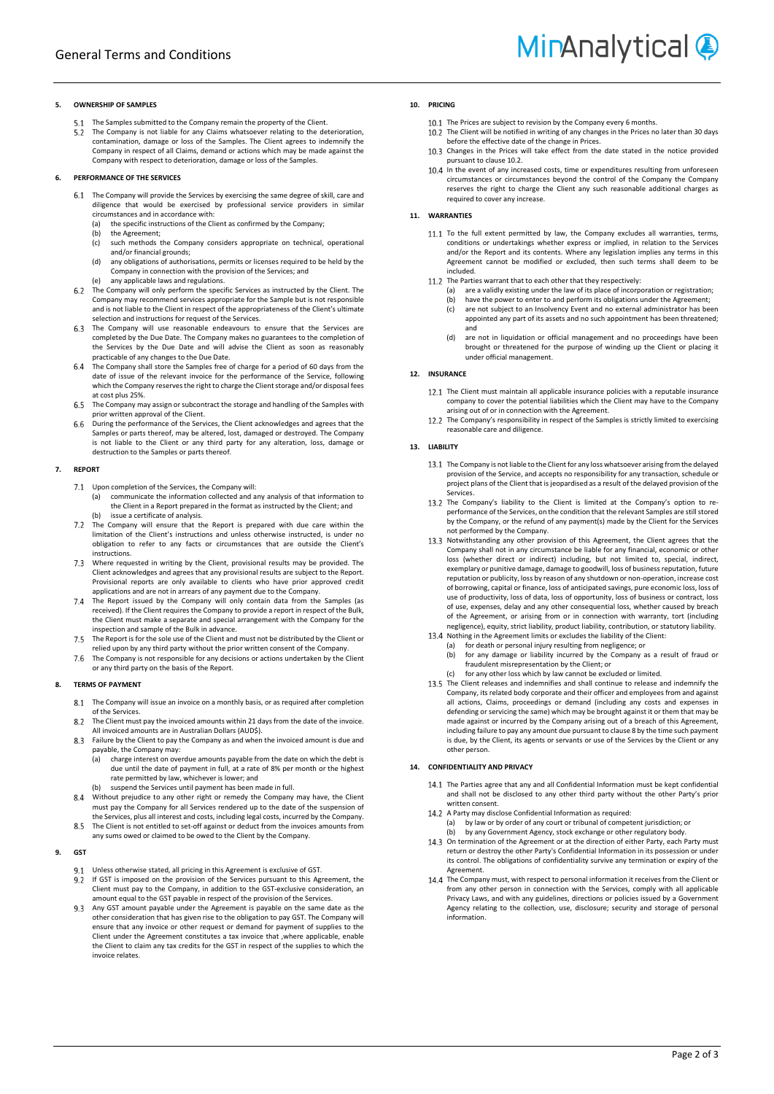

#### **5. OWNERSHIP OF SAMPLES**

The Samples submitted to the Company remain the property of the Client. The Company is not liable for any Claims whatsoever relating to the deterioration,  $52$ contamination, damage or loss of the Samples. The Client agrees to indemnify the Company in respect of all Claims, demand or actions which may be made against the Company with respect to deterioration, damage or loss of the Samples.

#### **6. PERFORMANCE OF THE SERVICES**

- The Company will provide the Services by exercising the same degree of skill, care and diligence that would be exercised by professional service providers in similar circumstances and in accordance with:
	- (a) the specific instructions of the Client as confirmed by the Company;<br>(b) the Agreement;
	- the Agreement;
	- (c) such methods the Company considers appropriate on technical, operational and/or financial grounds;
	- (d) any obligations of authorisations, permits or licenses required to be held by the Company in connection with the provision of the Services; and (e) any applicable laws and regulations.
- The Company will only perform the specific Services as instructed by the Client. The  $6.2$ Company may recommend services appropriate for the Sample but is not responsible and is not liable to the Client in respect of the appropriateness of the Client's ultimate selection and instructions for request of the Services.
- The Company will use reasonable endeavours to ensure that the Services are 6.3 completed by the Due Date. The Company makes no guarantees to the completion of the Services by the Due Date and will advise the Client as soon as reasonably practicable of any changes to the Due Date.
- 6.4 The Company shall store the Samples free of charge for a period of 60 days from the date of issue of the relevant invoice for the performance of the Service, following which the Company reserves the right to charge the Client storage and/or disposal fees at cost plus 25%.
- 6.5 The Company may assign or subcontract the storage and handling of the Samples with prior written approval of the Client.
- 6.6 During the performance of the Services, the Client acknowledges and agrees that the Samples or parts thereof, may be altered, lost, damaged or destroyed. The Company is not liable to the Client or any third party for any alteration, loss, damage or destruction to the Samples or parts thereof.

#### **7. REPORT**

- 7.1 Upon completion of the Services, the Company will:
	- (a) communicate the information collected and any analysis of that information to the Client in a Report prepared in the format as instructed by the Client; and (b) issue a certificate of analysis.
- The Company will ensure that the Report is prepared with due care within the  $7.2$ limitation of the Client's instructions and unless otherwise instructed, is under no obligation to refer to any facts or circumstances that are outside the Client's instructions.
- $7.3$ Where requested in writing by the Client, provisional results may be provided. The Client acknowledges and agrees that any provisional results are subject to the Report. Provisional reports are only available to clients who have prior approved credit applications and are not in arrears of any payment due to the Company.
- $7.4$ The Report issued by the Company will only contain data from the Samples (as received). If the Client requires the Company to provide a report in respect of the Bulk, the Client must make a separate and special arrangement with the Company for the inspection and sample of the Bulk in advance.
- The Report is for the sole use of the Client and must not be distributed by the Client or  $7.5$ relied upon by any third party without the prior written consent of the Company.
- 7.6 The Company is not responsible for any decisions or actions undertaken by the Client or any third party on the basis of the Report.

#### <span id="page-2-1"></span>**8. TERMS OF PAYMENT**

- $8.1\,$ The Company will issue an invoice on a monthly basis, or as required after completion of the Services.
- The Client must pay the invoiced amounts within 21 days from the date of the invoice. 82 All invoiced amounts are in Australian Dollars (AUD\$).
- Failure by the Client to pay the Company as and when the invoiced amount is due and 8.3 payable, the Company may:
	- (a) charge interest on overdue amounts payable from the date on which the debt is due until the date of payment in full, at a rate of 8% per month or the highest rate permitted by law, whichever is lower; and
	- (b) suspend the Services until payment has been made in full.
- 84 Without prejudice to any other right or remedy the Company may have, the Client must pay the Company for all Services rendered up to the date of the suspension of the Services, plus all interest and costs, including legal costs, incurred by the Company. 8.5
- The Client is not entitled to set-off against or deduct from the invoices amounts from any sums owed or claimed to be owed to the Client by the Company.

#### **9. GST**

- $Q<sub>1</sub>$ Unless otherwise stated, all pricing in this Agreement is exclusive of GST.
- 9.2 If GST is imposed on the provision of the Services pursuant to this Agreement, the Client must pay to the Company, in addition to the GST-exclusive consideration, an amount equal to the GST payable in respect of the provision of the Services.
- Any GST amount payable under the Agreement is payable on the same date as the 9.3 other consideration that has given rise to the obligation to pay GST. The Company will ensure that any invoice or other request or demand for payment of supplies to the Client under the Agreement constitutes a tax invoice that ,where applicable, enable the Client to claim any tax credits for the GST in respect of the supplies to which the invoice relates.

#### **10. PRICING**

- 
- <span id="page-2-0"></span>The Prices are subject to revision by the Company every 6 months. The Client will be notified in writing of any changes in the Prices no later than 30 days before the effective date of the change in Prices.
- 10.3 Changes in the Prices will take effect from the date stated in the notice provided pursuant to claus[e 10.2.](#page-2-0)
- In the event of any increased costs, time or expenditures resulting from unforeseen circumstances or circumstances beyond the control of the Company the Company reserves the right to charge the Client any such reasonable additional charges as required to cover any increase.

#### **11. WARRANTIES**

- 11.1 To the full extent permitted by law, the Company excludes all warranties, terms, conditions or undertakings whether express or implied, in relation to the Services and/or the Report and its contents. Where any legislation implies any terms in this Agreement cannot be modified or excluded, then such terms shall deem to be included.
- 11.2 The Parties warrant that to each other that they respectively:
	- (a) are a validly existing under the law of its place of incorporation or registration;
	- (b) have the power to enter to and perform its obligations under the Agreement;<br>(c) are not subject to an Insolvency Event and no external administrator has be are not subject to an Insolvency Event and no external administrator has been
	- appointed any part of its assets and no such appointment has been threatened; and
	- (d) are not in liquidation or official management and no proceedings have been brought or threatened for the purpose of winding up the Client or placing it under official management.

#### **12. INSURANCE**

- The Client must maintain all applicable insurance policies with a reputable insurance company to cover the potential liabilities which the Client may have to the Company arising out of or in connection with the Agreement.
- The Company's responsibility in respect of the Samples is strictly limited to exercising reasonable care and diligence.

#### **13. LIABILITY**

- The Company is not liable to the Client for any loss whatsoever arising from the delayed provision of the Service, and accepts no responsibility for any transaction, schedule or project plans of the Client that is jeopardised as a result of the delayed provision of the **Services**
- 13.2 The Company's liability to the Client is limited at the Company's option to reperformance of the Services, on the condition that the relevant Samples are still stored by the Company, or the refund of any payment(s) made by the Client for the Services
- not performed by the Company. Notwithstanding any other provision of this Agreement, the Client agrees that the Company shall not in any circumstance be liable for any financial, economic or other loss (whether direct or indirect) including, but not limited to, special, indirect, exemplary or punitive damage, damage to goodwill, loss of business reputation, future reputation or publicity, loss by reason of any shutdown or non-operation, increase cost of borrowing, capital or finance, loss of anticipated savings, pure economic loss, loss of use of productivity, loss of data, loss of opportunity, loss of business or contract, loss of use, expenses, delay and any other consequential loss, whether caused by breach of the Agreement, or arising from or in connection with warranty, tort (including negligence), equity, strict liability, product liability, contribution, or statutory liability.
- Nothing in the Agreement limits or excludes the liability of the Client:
	- (a) for death or personal injury resulting from negligence; or (b) for any damage or liability incurred by the Company as a result of fraud or fraudulent misrepresentation by the Client; or
	- (c) for any other loss which by law cannot be excluded or limited.
- The Client releases and indemnifies and shall continue to release and indemnify the Company, its related body corporate and their officer and employees from and against all actions, Claims, proceedings or demand (including any costs and expenses in defending or servicing the same) which may be brought against it or them that may be made against or incurred by the Company arising out of a breach of this Agreement, including failure to pay any amount due pursuant to claus[e 8](#page-2-1) by the time such payment is due, by the Client, its agents or servants or use of the Services by the Client or any other person.

#### **14. CONFIDENTIALITY AND PRIVACY**

- 14.1 The Parties agree that any and all Confidential Information must be kept confidential and shall not be disclosed to any other third party without the other Party's prior written consent.
- A Party may disclose Confidential Information as required:
	- (a) by law or by order of any court or tribunal of competent jurisdiction; or (b) by any Government Agency, stock exchange or other regulatory body
- 14.3 On termination of the Agreement or at the direction of either Party, each Party must return or destroy the other Party's Confidential Information in its possession or under its control. The obligations of confidentiality survive any termination or expiry of the Agreement.
- 14.4 The Company must, with respect to personal information it receives from the Client or from any other person in connection with the Services, comply with all applicable Privacy Laws, and with any guidelines, directions or policies issued by a Government Agency relating to the collection, use, disclosure; security and storage of personal information.